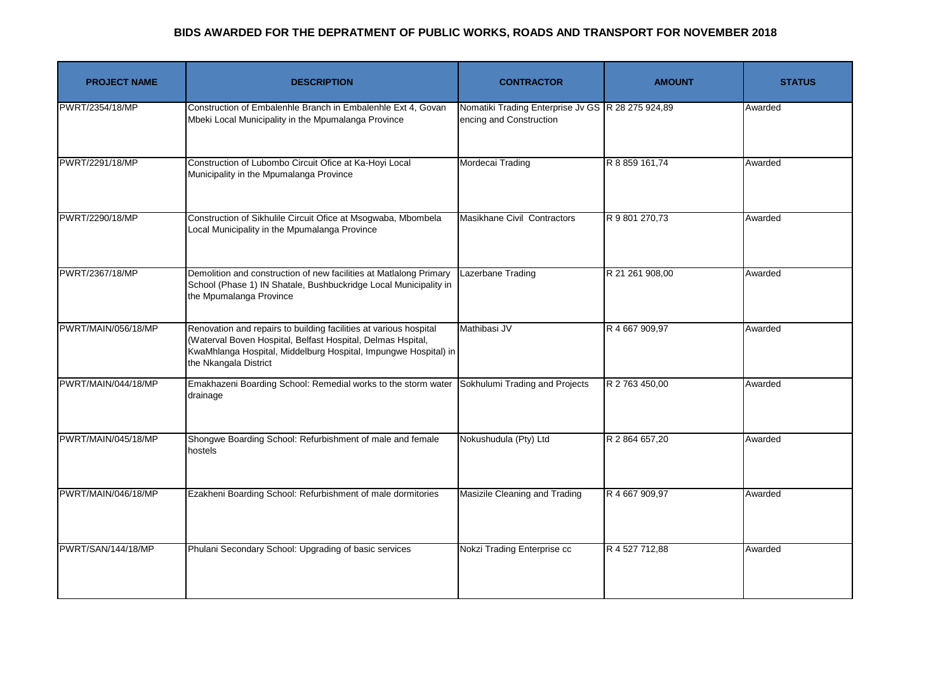| <b>PROJECT NAME</b> | <b>DESCRIPTION</b>                                                                                                                                                                                                           | <b>CONTRACTOR</b>                                                            | <b>AMOUNT</b>   | <b>STATUS</b> |
|---------------------|------------------------------------------------------------------------------------------------------------------------------------------------------------------------------------------------------------------------------|------------------------------------------------------------------------------|-----------------|---------------|
| PWRT/2354/18/MP     | Construction of Embalenhle Branch in Embalenhle Ext 4, Govan<br>Mbeki Local Municipality in the Mpumalanga Province                                                                                                          | Nomatiki Trading Enterprise Jv GS R 28 275 924,89<br>encing and Construction |                 | Awarded       |
| PWRT/2291/18/MP     | Construction of Lubombo Circuit Ofice at Ka-Hoyi Local<br>Municipality in the Mpumalanga Province                                                                                                                            | Mordecai Trading                                                             | R 8 859 161,74  | Awarded       |
| PWRT/2290/18/MP     | Construction of Sikhulile Circuit Ofice at Msogwaba, Mbombela<br>Local Municipality in the Mpumalanga Province                                                                                                               | Masikhane Civil Contractors                                                  | R 9 801 270,73  | Awarded       |
| PWRT/2367/18/MP     | Demolition and construction of new facilities at Matlalong Primary<br>School (Phase 1) IN Shatale, Bushbuckridge Local Municipality in<br>the Mpumalanga Province                                                            | Lazerbane Trading                                                            | R 21 261 908,00 | Awarded       |
| PWRT/MAIN/056/18/MP | Renovation and repairs to building facilities at various hospital<br>(Waterval Boven Hospital, Belfast Hospital, Delmas Hspital,<br>KwaMhlanga Hospital, Middelburg Hospital, Impungwe Hospital) in<br>the Nkangala District | Mathibasi JV                                                                 | R 4 667 909,97  | Awarded       |
| PWRT/MAIN/044/18/MP | Emakhazeni Boarding School: Remedial works to the storm water<br>drainage                                                                                                                                                    | Sokhulumi Trading and Projects                                               | R 2 763 450,00  | Awarded       |
| PWRT/MAIN/045/18/MP | Shongwe Boarding School: Refurbishment of male and female<br>hostels                                                                                                                                                         | Nokushudula (Pty) Ltd                                                        | R 2 864 657,20  | Awarded       |
| PWRT/MAIN/046/18/MP | Ezakheni Boarding School: Refurbishment of male dormitories                                                                                                                                                                  | Masizile Cleaning and Trading                                                | R 4 667 909,97  | Awarded       |
| PWRT/SAN/144/18/MP  | Phulani Secondary School: Upgrading of basic services                                                                                                                                                                        | Nokzi Trading Enterprise cc                                                  | R 4 527 712,88  | Awarded       |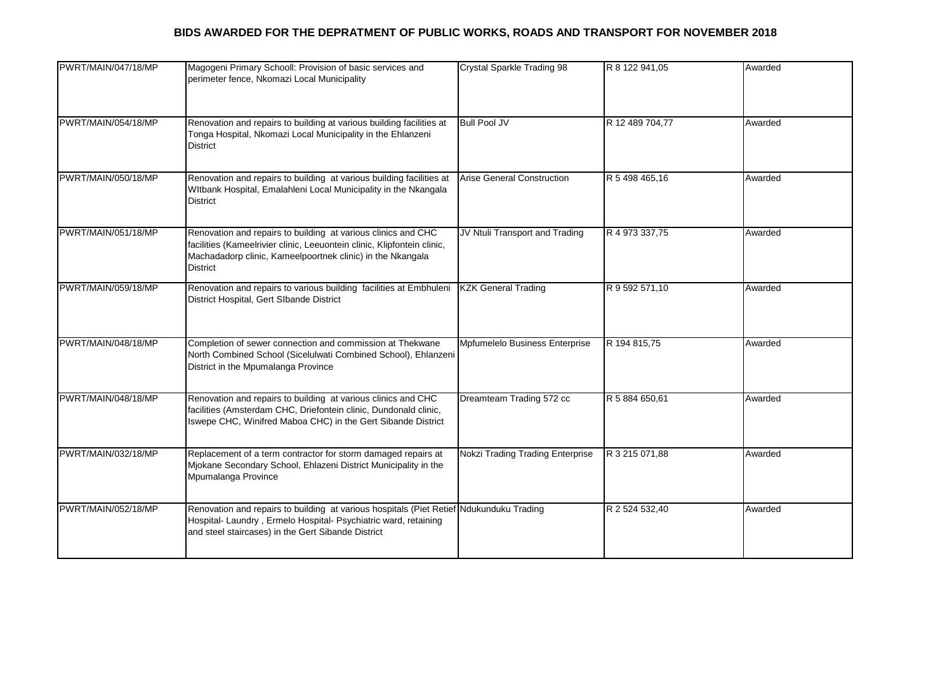| PWRT/MAIN/047/18/MP | Magogeni Primary Schooll: Provision of basic services and<br>perimeter fence, Nkomazi Local Municipality                                                                                                                  | <b>Crystal Sparkle Trading 98</b> | R 8 122 941,05  | Awarded |
|---------------------|---------------------------------------------------------------------------------------------------------------------------------------------------------------------------------------------------------------------------|-----------------------------------|-----------------|---------|
| PWRT/MAIN/054/18/MP | Renovation and repairs to building at various building facilities at<br>Tonga Hospital, Nkomazi Local Municipality in the Ehlanzeni<br><b>District</b>                                                                    | <b>Bull Pool JV</b>               | R 12 489 704,77 | Awarded |
| PWRT/MAIN/050/18/MP | Renovation and repairs to building at various building facilities at<br>WItbank Hospital, Emalahleni Local Municipality in the Nkangala<br><b>District</b>                                                                | <b>Arise General Construction</b> | R 5 498 465,16  | Awarded |
| PWRT/MAIN/051/18/MP | Renovation and repairs to building at various clinics and CHC<br>facilities (Kameelrivier clinic, Leeuontein clinic, Klipfontein clinic,<br>Machadadorp clinic, Kameelpoortnek clinic) in the Nkangala<br><b>District</b> | JV Ntuli Transport and Trading    | R 4 973 337,75  | Awarded |
| PWRT/MAIN/059/18/MP | Renovation and repairs to various building facilities at Embhuleni<br>District Hospital, Gert SIbande District                                                                                                            | <b>KZK General Trading</b>        | R 9 592 571,10  | Awarded |
| PWRT/MAIN/048/18/MP | Completion of sewer connection and commission at Thekwane<br>North Combined School (Sicelulwati Combined School), Ehlanzeni<br>District in the Mpumalanga Province                                                        | Mpfumelelo Business Enterprise    | R 194 815,75    | Awarded |
| PWRT/MAIN/048/18/MP | Renovation and repairs to building at various clinics and CHC<br>facilities (Amsterdam CHC, Driefontein clinic, Dundonald clinic,<br>Iswepe CHC, Winifred Maboa CHC) in the Gert Sibande District                         | Dreamteam Trading 572 cc          | R 5 884 650,61  | Awarded |
| PWRT/MAIN/032/18/MP | Replacement of a term contractor for storm damaged repairs at<br>Mjokane Secondary School, Ehlazeni District Municipality in the<br>Mpumalanga Province                                                                   | Nokzi Trading Trading Enterprise  | R 3 215 071,88  | Awarded |
| PWRT/MAIN/052/18/MP | Renovation and repairs to building at various hospitals (Piet Retief Ndukunduku Trading<br>Hospital- Laundry, Ermelo Hospital- Psychiatric ward, retaining<br>and steel staircases) in the Gert Sibande District          |                                   | R 2 524 532,40  | Awarded |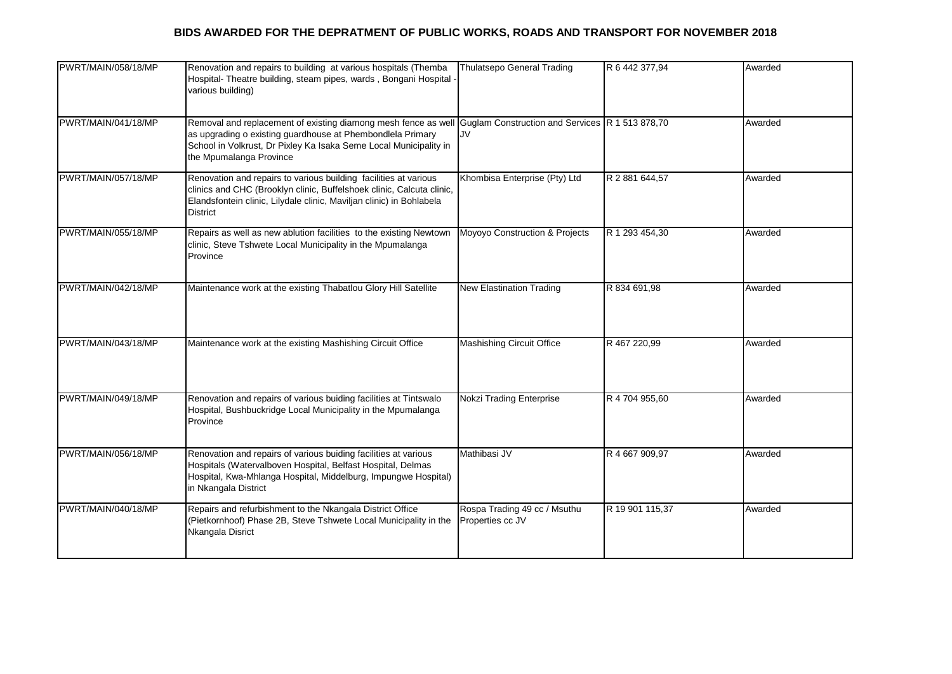| PWRT/MAIN/058/18/MP | Renovation and repairs to building at various hospitals (Themba<br>Hospital- Theatre building, steam pipes, wards, Bongani Hospital -<br>various building)                                                                           | <b>Thulatsepo General Trading</b>                     | R 6 442 377,94  | Awarded |
|---------------------|--------------------------------------------------------------------------------------------------------------------------------------------------------------------------------------------------------------------------------------|-------------------------------------------------------|-----------------|---------|
| PWRT/MAIN/041/18/MP | Removal and replacement of existing diamong mesh fence as well<br>as upgrading o existing guardhouse at Phembondlela Primary<br>School in Volkrust, Dr Pixley Ka Isaka Seme Local Municipality in<br>the Mpumalanga Province         | Guglam Construction and Services R 1 513 878,70<br>JV |                 | Awarded |
| PWRT/MAIN/057/18/MP | Renovation and repairs to various building facilities at various<br>clinics and CHC (Brooklyn clinic, Buffelshoek clinic, Calcuta clinic,<br>Elandsfontein clinic, Lilydale clinic, Maviljan clinic) in Bohlabela<br><b>District</b> | Khombisa Enterprise (Pty) Ltd                         | R 2 881 644,57  | Awarded |
| PWRT/MAIN/055/18/MP | Repairs as well as new ablution facilities to the existing Newtown<br>clinic, Steve Tshwete Local Municipality in the Mpumalanga<br>Province                                                                                         | Moyoyo Construction & Projects                        | R 1 293 454,30  | Awarded |
| PWRT/MAIN/042/18/MP | Maintenance work at the existing Thabatlou Glory Hill Satellite                                                                                                                                                                      | New Elastination Trading                              | R 834 691,98    | Awarded |
| PWRT/MAIN/043/18/MP | Maintenance work at the existing Mashishing Circuit Office                                                                                                                                                                           | <b>Mashishing Circuit Office</b>                      | R 467 220,99    | Awarded |
| PWRT/MAIN/049/18/MP | Renovation and repairs of various buiding facilities at Tintswalo<br>Hospital, Bushbuckridge Local Municipality in the Mpumalanga<br>Province                                                                                        | Nokzi Trading Enterprise                              | R 4 704 955,60  | Awarded |
| PWRT/MAIN/056/18/MP | Renovation and repairs of various buiding facilities at various<br>Hospitals (Watervalboven Hospital, Belfast Hospital, Delmas<br>Hospital, Kwa-Mhlanga Hospital, Middelburg, Impungwe Hospital)<br>in Nkangala District             | Mathibasi JV                                          | R 4 667 909,97  | Awarded |
| PWRT/MAIN/040/18/MP | Repairs and refurbishment to the Nkangala District Office<br>(Pietkornhoof) Phase 2B, Steve Tshwete Local Municipality in the<br>Nkangala Disrict                                                                                    | Rospa Trading 49 cc / Msuthu<br>Properties cc JV      | R 19 901 115,37 | Awarded |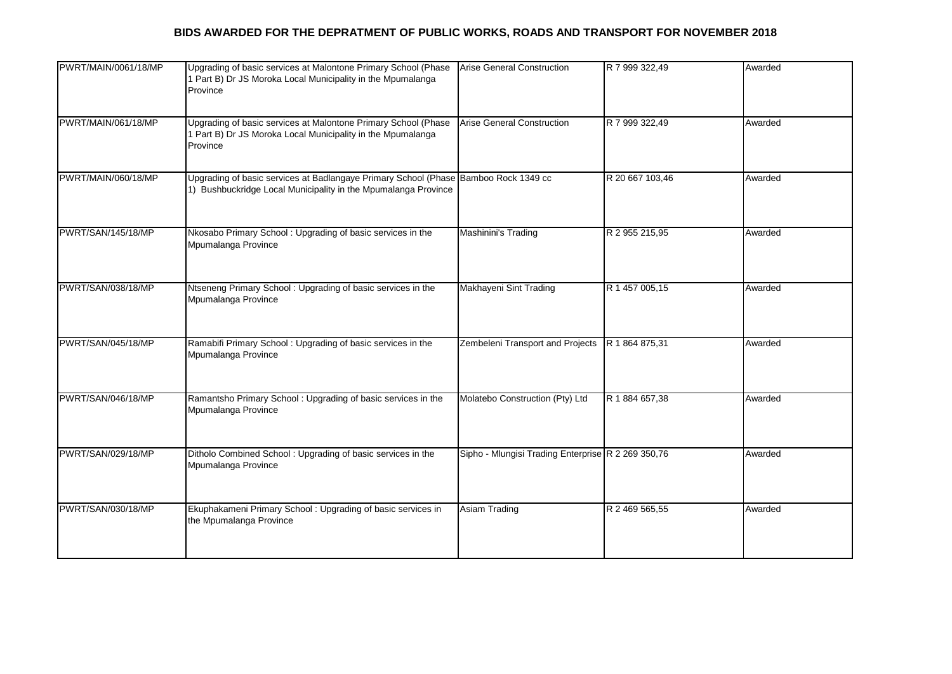| PWRT/MAIN/0061/18/MP | Upgrading of basic services at Malontone Primary School (Phase<br>1 Part B) Dr JS Moroka Local Municipality in the Mpumalanga<br>Province             | <b>Arise General Construction</b>                  | R 7 999 322,49  | Awarded |
|----------------------|-------------------------------------------------------------------------------------------------------------------------------------------------------|----------------------------------------------------|-----------------|---------|
| PWRT/MAIN/061/18/MP  | Upgrading of basic services at Malontone Primary School (Phase<br>1 Part B) Dr JS Moroka Local Municipality in the Mpumalanga<br>Province             | Arise General Construction                         | R 7 999 322,49  | Awarded |
| PWRT/MAIN/060/18/MP  | Upgrading of basic services at Badlangaye Primary School (Phase Bamboo Rock 1349 cc<br>1) Bushbuckridge Local Municipality in the Mpumalanga Province |                                                    | R 20 667 103,46 | Awarded |
| PWRT/SAN/145/18/MP   | Nkosabo Primary School: Upgrading of basic services in the<br>Mpumalanga Province                                                                     | Mashinini's Trading                                | R 2 955 215,95  | Awarded |
| PWRT/SAN/038/18/MP   | Ntseneng Primary School: Upgrading of basic services in the<br>Mpumalanga Province                                                                    | Makhayeni Sint Trading                             | R 1 457 005,15  | Awarded |
| PWRT/SAN/045/18/MP   | Ramabifi Primary School: Upgrading of basic services in the<br>Mpumalanga Province                                                                    | Zembeleni Transport and Projects                   | R 1 864 875,31  | Awarded |
| PWRT/SAN/046/18/MP   | Ramantsho Primary School: Upgrading of basic services in the<br>Mpumalanga Province                                                                   | Molatebo Construction (Pty) Ltd                    | R 1 884 657,38  | Awarded |
| PWRT/SAN/029/18/MP   | Ditholo Combined School: Upgrading of basic services in the<br>Mpumalanga Province                                                                    | Sipho - Mlungisi Trading Enterprise R 2 269 350,76 |                 | Awarded |
| PWRT/SAN/030/18/MP   | Ekuphakameni Primary School: Upgrading of basic services in<br>the Mpumalanga Province                                                                | Asiam Trading                                      | R 2 469 565,55  | Awarded |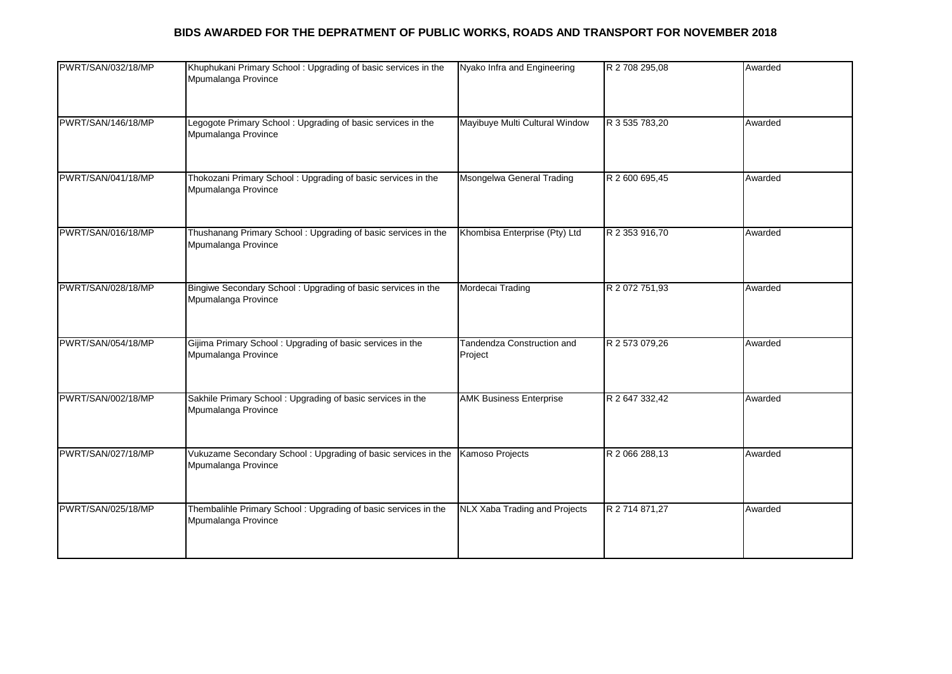| Legogote Primary School: Upgrading of basic services in the<br>Mpumalanga Province    | Mayibuye Multi Cultural Window        | R 3 535 783,20 |         |
|---------------------------------------------------------------------------------------|---------------------------------------|----------------|---------|
|                                                                                       |                                       |                | Awarded |
| Thokozani Primary School: Upgrading of basic services in the<br>Mpumalanga Province   | Msongelwa General Trading             | R 2 600 695,45 | Awarded |
| Thushanang Primary School: Upgrading of basic services in the<br>Mpumalanga Province  | Khombisa Enterprise (Pty) Ltd         | R 2 353 916,70 | Awarded |
| Bingiwe Secondary School: Upgrading of basic services in the<br>Mpumalanga Province   | Mordecai Trading                      | R 2 072 751,93 | Awarded |
| Gijima Primary School: Upgrading of basic services in the<br>Mpumalanga Province      | Tandendza Construction and<br>Project | R 2 573 079,26 | Awarded |
| Sakhile Primary School: Upgrading of basic services in the<br>Mpumalanga Province     | <b>AMK Business Enterprise</b>        | R 2 647 332,42 | Awarded |
| Vukuzame Secondary School: Upgrading of basic services in the<br>Mpumalanga Province  | Kamoso Projects                       | R 2 066 288,13 | Awarded |
| Thembalihle Primary School: Upgrading of basic services in the<br>Mpumalanga Province | NLX Xaba Trading and Projects         | R 2 714 871,27 | Awarded |
|                                                                                       |                                       |                |         |